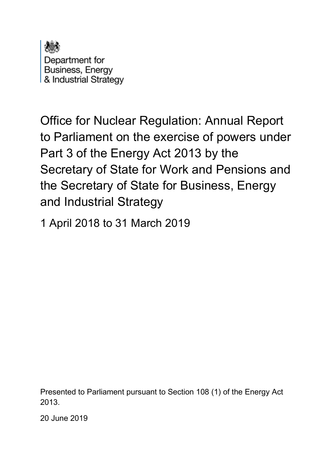

Department for Business, Energy & Industrial Strategy

Office for Nuclear Regulation: Annual Report to Parliament on the exercise of powers under Part 3 of the Energy Act 2013 by the Secretary of State for Work and Pensions and the Secretary of State for Business, Energy and Industrial Strategy

1 April 2018 to 31 March 2019

Presented to Parliament pursuant to Section 108 (1) of the Energy Act 2013.

20 June 2019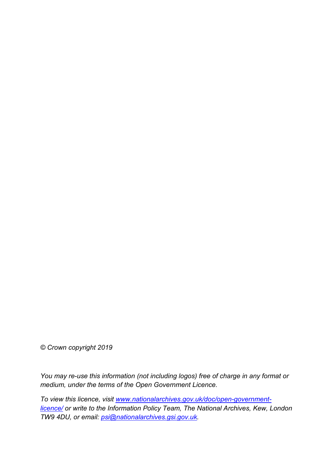*© Crown copyright 2019*

*You may re-use this information (not including logos) free of charge in any format or medium, under the terms of the Open Government Licence.* 

*To view this licence, visit [www.nationalarchives.gov.uk/doc/open-government](http://www.nationalarchives.gov.uk/doc/open-government-licence/)[licence/](http://www.nationalarchives.gov.uk/doc/open-government-licence/) or write to the Information Policy Team, The National Archives, Kew, London TW9 4DU, or email: [psi@nationalarchives.gsi.gov.uk.](mailto:psi@nationalarchives.gsi.gov.uk)*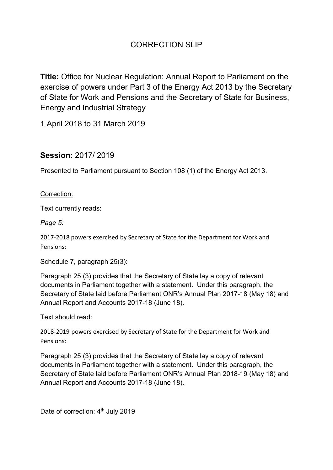**Title:** Office for Nuclear Regulation: Annual Report to Parliament on the exercise of powers under Part 3 of the Energy Act 2013 by the Secretary of State for Work and Pensions and the Secretary of State for Business, Energy and Industrial Strategy

1 April 2018 to 31 March 2019

## **Session:** 2017/ 2019

Presented to Parliament pursuant to Section 108 (1) of the Energy Act 2013.

#### Correction:

Text currently reads:

*Page 5:*

2017-2018 powers exercised by Secretary of State for the Department for Work and Pensions:

#### Schedule 7, paragraph 25(3):

Paragraph 25 (3) provides that the Secretary of State lay a copy of relevant documents in Parliament together with a statement. Under this paragraph, the Secretary of State laid before Parliament ONR's Annual Plan 2017-18 (May 18) and Annual Report and Accounts 2017-18 (June 18).

Text should read:

2018-2019 powers exercised by Secretary of State for the Department for Work and Pensions:

Paragraph 25 (3) provides that the Secretary of State lay a copy of relevant documents in Parliament together with a statement. Under this paragraph, the Secretary of State laid before Parliament ONR's Annual Plan 2018-19 (May 18) and Annual Report and Accounts 2017-18 (June 18).

Date of correction: 4<sup>th</sup> July 2019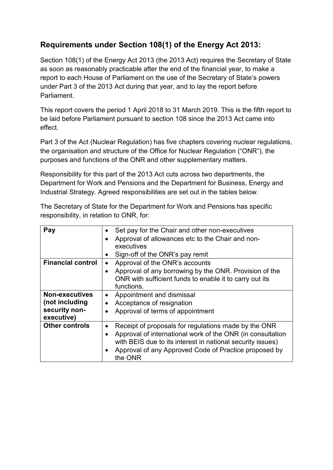# **Requirements under Section 108(1) of the Energy Act 2013:**

Section 108(1) of the Energy Act 2013 (the 2013 Act) requires the Secretary of State as soon as reasonably practicable after the end of the financial year, to make a report to each House of Parliament on the use of the Secretary of State's powers under Part 3 of the 2013 Act during that year, and to lay the report before Parliament.

This report covers the period 1 April 2018 to 31 March 2019. This is the fifth report to be laid before Parliament pursuant to section 108 since the 2013 Act came into effect.

Part 3 of the Act (Nuclear Regulation) has five chapters covering nuclear regulations, the organisation and structure of the Office for Nuclear Regulation ("ONR"), the purposes and functions of the ONR and other supplementary matters.

Responsibility for this part of the 2013 Act cuts across two departments, the Department for Work and Pensions and the Department for Business, Energy and Industrial Strategy. Agreed responsibilities are set out in the tables below.

The Secretary of State for the Department for Work and Pensions has specific responsibility, in relation to ONR, for:

| Pay                                                                    | Set pay for the Chair and other non-executives<br>$\bullet$<br>Approval of allowances etc to the Chair and non-<br>$\bullet$<br>executives<br>Sign-off of the ONR's pay remit<br>$\bullet$                                                                                                  |
|------------------------------------------------------------------------|---------------------------------------------------------------------------------------------------------------------------------------------------------------------------------------------------------------------------------------------------------------------------------------------|
| <b>Financial control</b>                                               | Approval of the ONR's accounts<br>٠<br>Approval of any borrowing by the ONR. Provision of the<br>$\bullet$<br>ONR with sufficient funds to enable it to carry out its<br>functions.                                                                                                         |
| <b>Non-executives</b><br>(not including<br>security non-<br>executive) | Appointment and dismissal<br>$\bullet$<br>Acceptance of resignation<br>$\bullet$<br>Approval of terms of appointment<br>$\bullet$                                                                                                                                                           |
| <b>Other controls</b>                                                  | Receipt of proposals for regulations made by the ONR<br>$\bullet$<br>Approval of international work of the ONR (in consultation<br>$\bullet$<br>with BEIS due to its interest in national security issues)<br>Approval of any Approved Code of Practice proposed by<br>$\bullet$<br>the ONR |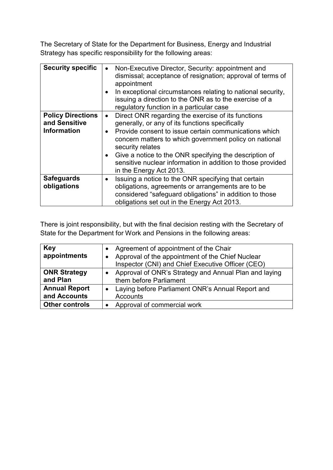The Secretary of State for the Department for Business, Energy and Industrial Strategy has specific responsibility for the following areas:

| <b>Security specific</b>                                        | Non-Executive Director, Security: appointment and<br>dismissal; acceptance of resignation; approval of terms of<br>appointment<br>In exceptional circumstances relating to national security,<br>issuing a direction to the ONR as to the exercise of a<br>regulatory function in a particular case                                                                                                                                     |
|-----------------------------------------------------------------|-----------------------------------------------------------------------------------------------------------------------------------------------------------------------------------------------------------------------------------------------------------------------------------------------------------------------------------------------------------------------------------------------------------------------------------------|
| <b>Policy Directions</b><br>and Sensitive<br><b>Information</b> | Direct ONR regarding the exercise of its functions<br>$\bullet$<br>generally, or any of its functions specifically<br>Provide consent to issue certain communications which<br>$\bullet$<br>concern matters to which government policy on national<br>security relates<br>Give a notice to the ONR specifying the description of<br>$\bullet$<br>sensitive nuclear information in addition to those provided<br>in the Energy Act 2013. |
| <b>Safeguards</b><br>obligations                                | Issuing a notice to the ONR specifying that certain<br>$\bullet$<br>obligations, agreements or arrangements are to be<br>considered "safeguard obligations" in addition to those<br>obligations set out in the Energy Act 2013.                                                                                                                                                                                                         |

There is joint responsibility, but with the final decision resting with the Secretary of State for the Department for Work and Pensions in the following areas:

| <b>Key</b><br>appointments | Agreement of appointment of the Chair<br>Approval of the appointment of the Chief Nuclear<br>Inspector (CNI) and Chief Executive Officer (CEO) |
|----------------------------|------------------------------------------------------------------------------------------------------------------------------------------------|
| <b>ONR Strategy</b>        | Approval of ONR's Strategy and Annual Plan and laying                                                                                          |
| and Plan                   | them before Parliament                                                                                                                         |
| <b>Annual Report</b>       | Laying before Parliament ONR's Annual Report and                                                                                               |
| and Accounts               | Accounts                                                                                                                                       |
| <b>Other controls</b>      | Approval of commercial work                                                                                                                    |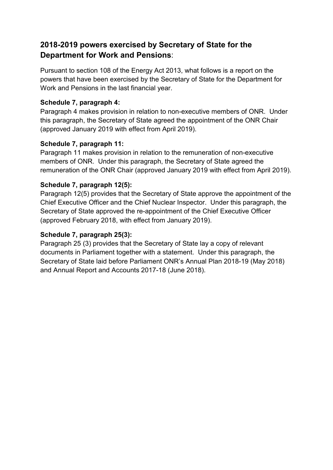## **2018-2019 powers exercised by Secretary of State for the Department for Work and Pensions**:

Pursuant to section 108 of the Energy Act 2013, what follows is a report on the powers that have been exercised by the Secretary of State for the Department for Work and Pensions in the last financial year.

## **Schedule 7, paragraph 4:**

Paragraph 4 makes provision in relation to non-executive members of ONR. Under this paragraph, the Secretary of State agreed the appointment of the ONR Chair (approved January 2019 with effect from April 2019).

### **Schedule 7, paragraph 11:**

Paragraph 11 makes provision in relation to the remuneration of non-executive members of ONR. Under this paragraph, the Secretary of State agreed the remuneration of the ONR Chair (approved January 2019 with effect from April 2019).

### **Schedule 7, paragraph 12(5):**

Paragraph 12(5) provides that the Secretary of State approve the appointment of the Chief Executive Officer and the Chief Nuclear Inspector. Under this paragraph, the Secretary of State approved the re-appointment of the Chief Executive Officer (approved February 2018, with effect from January 2019).

#### **Schedule 7, paragraph 25(3):**

Paragraph 25 (3) provides that the Secretary of State lay a copy of relevant documents in Parliament together with a statement. Under this paragraph, the Secretary of State laid before Parliament ONR's Annual Plan 2018-19 (May 2018) and Annual Report and Accounts 2017-18 (June 2018).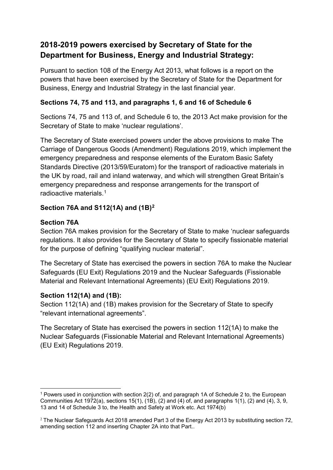# **2018-2019 powers exercised by Secretary of State for the Department for Business, Energy and Industrial Strategy:**

Pursuant to section 108 of the Energy Act 2013, what follows is a report on the powers that have been exercised by the Secretary of State for the Department for Business, Energy and Industrial Strategy in the last financial year.

## **Sections 74, 75 and 113, and paragraphs 1, 6 and 16 of Schedule 6**

Sections 74, 75 and 113 of, and Schedule 6 to, the 2013 Act make provision for the Secretary of State to make 'nuclear regulations'.

The Secretary of State exercised powers under the above provisions to make The Carriage of Dangerous Goods (Amendment) Regulations 2019, which implement the emergency preparedness and response elements of the Euratom Basic Safety Standards Directive (2013/59/Euratom) for the transport of radioactive materials in the UK by road, rail and inland waterway, and which will strengthen Great Britain's emergency preparedness and response arrangements for the transport of radioactive materials. [1](#page-6-0)

## **Section 76A and S112(1A) and (1B)[2](#page-6-1)**

## **Section 76A**

Section 76A makes provision for the Secretary of State to make 'nuclear safeguards regulations. It also provides for the Secretary of State to specify fissionable material for the purpose of defining "qualifying nuclear material".

The Secretary of State has exercised the powers in section 76A to make the Nuclear Safeguards (EU Exit) Regulations 2019 and the Nuclear Safeguards (Fissionable Material and Relevant International Agreements) (EU Exit) Regulations 2019.

## **Section 112(1A) and (1B):**

Section 112(1A) and (1B) makes provision for the Secretary of State to specify "relevant international agreements".

The Secretary of State has exercised the powers in section 112(1A) to make the Nuclear Safeguards (Fissionable Material and Relevant International Agreements) (EU Exit) Regulations 2019.

<span id="page-6-0"></span><sup>1</sup> Powers used in conjunction with section 2(2) of, and paragraph 1A of Schedule 2 to, the European Communities Act 1972(a), sections 15(1), (1B), (2) and (4) of, and paragraphs 1(1), (2) and (4), 3, 9, 13 and 14 of Schedule 3 to, the Health and Safety at Work etc. Act 1974(b)

<span id="page-6-1"></span> $2$  The Nuclear Safeguards Act 2018 amended Part 3 of the Energy Act 2013 by substituting section 72, amending section 112 and inserting Chapter 2A into that Part..